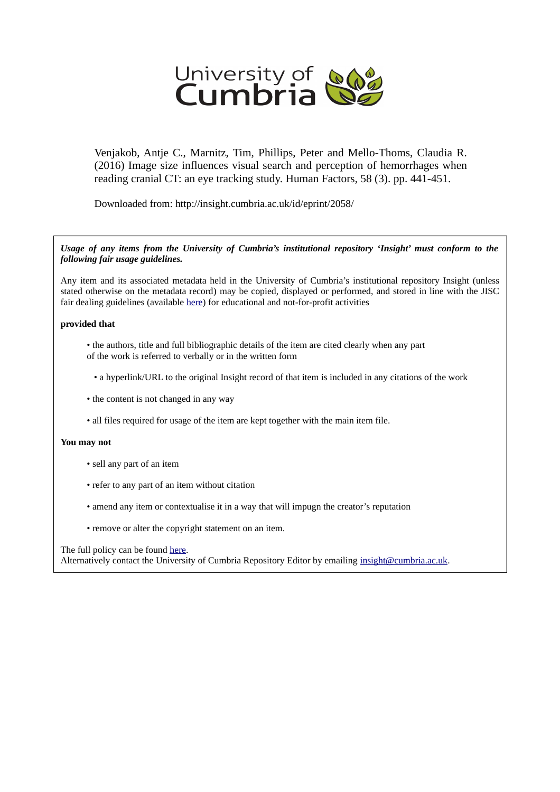

Venjakob, Antje C., Marnitz, Tim, Phillips, Peter and Mello-Thoms, Claudia R. (2016) Image size influences visual search and perception of hemorrhages when reading cranial CT: an eye tracking study. Human Factors, 58 (3). pp. 441-451.

Downloaded from: http://insight.cumbria.ac.uk/id/eprint/2058/

## *Usage of any items from the University of Cumbria's institutional repository 'Insight' must conform to the following fair usage guidelines.*

Any item and its associated metadata held in the University of Cumbria's institutional repository Insight (unless stated otherwise on the metadata record) may be copied, displayed or performed, and stored in line with the JISC fair dealing guidelines (available [here\)](http://www.ukoln.ac.uk/services/elib/papers/pa/fair/) for educational and not-for-profit activities

## **provided that**

- the authors, title and full bibliographic details of the item are cited clearly when any part of the work is referred to verbally or in the written form
	- a hyperlink/URL to the original Insight record of that item is included in any citations of the work
- the content is not changed in any way
- all files required for usage of the item are kept together with the main item file.

## **You may not**

- sell any part of an item
- refer to any part of an item without citation
- amend any item or contextualise it in a way that will impugn the creator's reputation
- remove or alter the copyright statement on an item.

## The full policy can be found [here.](http://insight.cumbria.ac.uk/legal.html#section5)

Alternatively contact the University of Cumbria Repository Editor by emailing [insight@cumbria.ac.uk.](mailto:insight@cumbria.ac.uk)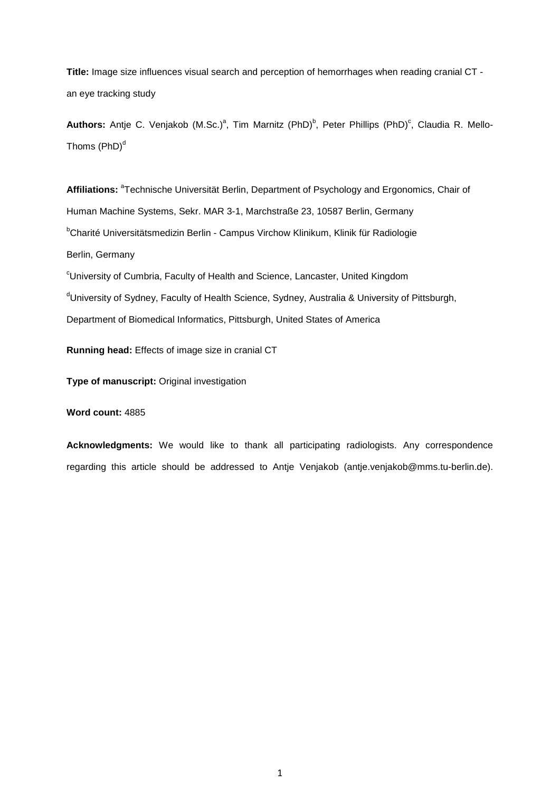**Title:** Image size influences visual search and perception of hemorrhages when reading cranial CT an eye tracking study

Authors: Antje C. Venjakob (M.Sc.)<sup>a</sup>, Tim Marnitz (PhD)<sup>b</sup>, Peter Phillips (PhD)<sup>c</sup>, Claudia R. Mello-Thoms  $(PhD)^d$ 

Affiliations: <sup>a</sup>Technische Universität Berlin, Department of Psychology and Ergonomics, Chair of Human Machine Systems, Sekr. MAR 3-1, Marchstraße 23, 10587 Berlin, Germany <sup>b</sup>Charité Universitätsmedizin Berlin - Campus Virchow Klinikum, Klinik für Radiologie Berlin, Germany

<sup>c</sup>University of Cumbria, Faculty of Health and Science, Lancaster, United Kingdom dUniversity of Sydney, Faculty of Health Science, Sydney, Australia & University of Pittsburgh, Department of Biomedical Informatics, Pittsburgh, United States of America

**Running head:** Effects of image size in cranial CT

**Type of manuscript:** Original investigation

**Word count:** 4885

**Acknowledgments:** We would like to thank all participating radiologists. Any correspondence regarding this article should be addressed to Antje Venjakob (antje.venjakob@mms.tu-berlin.de).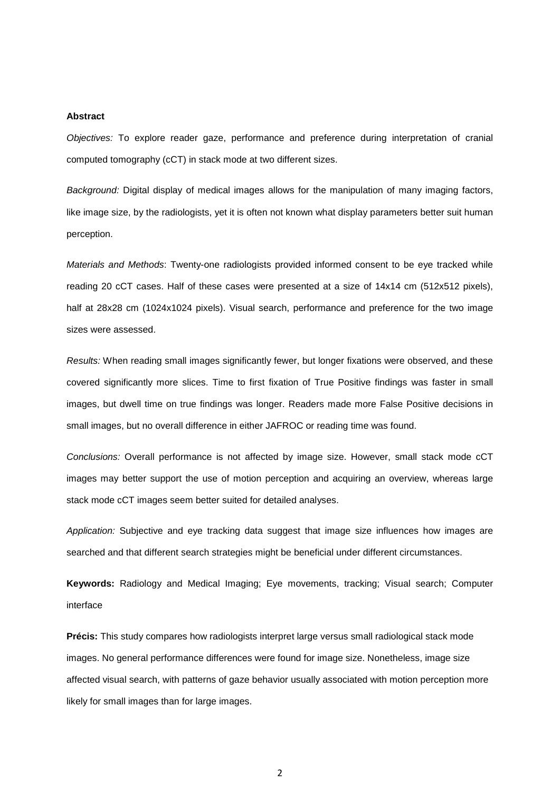#### **Abstract**

*Objectives:* To explore reader gaze, performance and preference during interpretation of cranial computed tomography (cCT) in stack mode at two different sizes.

*Background:* Digital display of medical images allows for the manipulation of many imaging factors, like image size, by the radiologists, yet it is often not known what display parameters better suit human perception.

*Materials and Methods*: Twenty-one radiologists provided informed consent to be eye tracked while reading 20 cCT cases. Half of these cases were presented at a size of 14x14 cm (512x512 pixels), half at 28x28 cm (1024x1024 pixels). Visual search, performance and preference for the two image sizes were assessed.

*Results:* When reading small images significantly fewer, but longer fixations were observed, and these covered significantly more slices. Time to first fixation of True Positive findings was faster in small images, but dwell time on true findings was longer. Readers made more False Positive decisions in small images, but no overall difference in either JAFROC or reading time was found.

*Conclusions:* Overall performance is not affected by image size. However, small stack mode cCT images may better support the use of motion perception and acquiring an overview, whereas large stack mode cCT images seem better suited for detailed analyses.

*Application:* Subjective and eye tracking data suggest that image size influences how images are searched and that different search strategies might be beneficial under different circumstances.

**Keywords:** Radiology and Medical Imaging; Eye movements, tracking; Visual search; Computer interface

**Précis:** This study compares how radiologists interpret large versus small radiological stack mode images. No general performance differences were found for image size. Nonetheless, image size affected visual search, with patterns of gaze behavior usually associated with motion perception more likely for small images than for large images.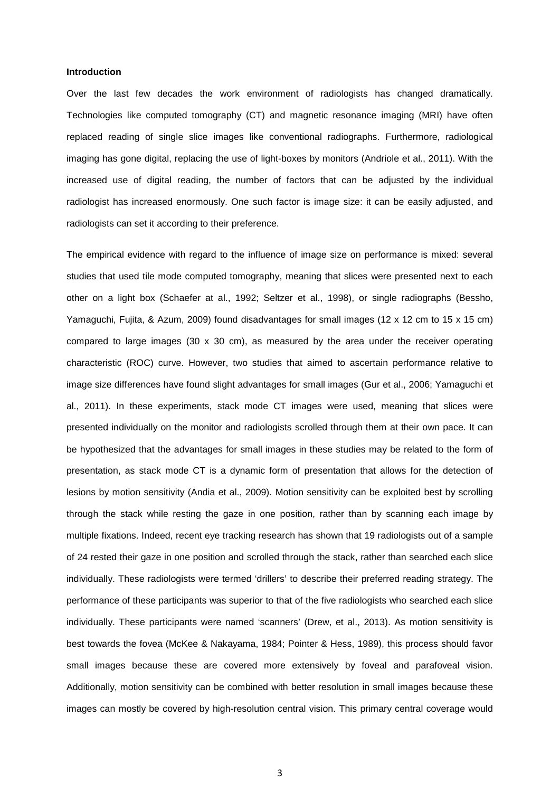#### **Introduction**

Over the last few decades the work environment of radiologists has changed dramatically. Technologies like computed tomography (CT) and magnetic resonance imaging (MRI) have often replaced reading of single slice images like conventional radiographs. Furthermore, radiological imaging has gone digital, replacing the use of light-boxes by monitors (Andriole et al., 2011). With the increased use of digital reading, the number of factors that can be adjusted by the individual radiologist has increased enormously. One such factor is image size: it can be easily adjusted, and radiologists can set it according to their preference.

The empirical evidence with regard to the influence of image size on performance is mixed: several studies that used tile mode computed tomography, meaning that slices were presented next to each other on a light box (Schaefer at al., 1992; Seltzer et al., 1998), or single radiographs (Bessho, Yamaguchi, Fujita, & Azum, 2009) found disadvantages for small images (12 x 12 cm to 15 x 15 cm) compared to large images (30  $\times$  30 cm), as measured by the area under the receiver operating characteristic (ROC) curve. However, two studies that aimed to ascertain performance relative to image size differences have found slight advantages for small images (Gur et al., 2006; Yamaguchi et al., 2011). In these experiments, stack mode CT images were used, meaning that slices were presented individually on the monitor and radiologists scrolled through them at their own pace. It can be hypothesized that the advantages for small images in these studies may be related to the form of presentation, as stack mode CT is a dynamic form of presentation that allows for the detection of lesions by motion sensitivity (Andia et al., 2009). Motion sensitivity can be exploited best by scrolling through the stack while resting the gaze in one position, rather than by scanning each image by multiple fixations. Indeed, recent eye tracking research has shown that 19 radiologists out of a sample of 24 rested their gaze in one position and scrolled through the stack, rather than searched each slice individually. These radiologists were termed 'drillers' to describe their preferred reading strategy. The performance of these participants was superior to that of the five radiologists who searched each slice individually. These participants were named 'scanners' (Drew, et al., 2013). As motion sensitivity is best towards the fovea (McKee & Nakayama, 1984; Pointer & Hess, 1989), this process should favor small images because these are covered more extensively by foveal and parafoveal vision. Additionally, motion sensitivity can be combined with better resolution in small images because these images can mostly be covered by high-resolution central vision. This primary central coverage would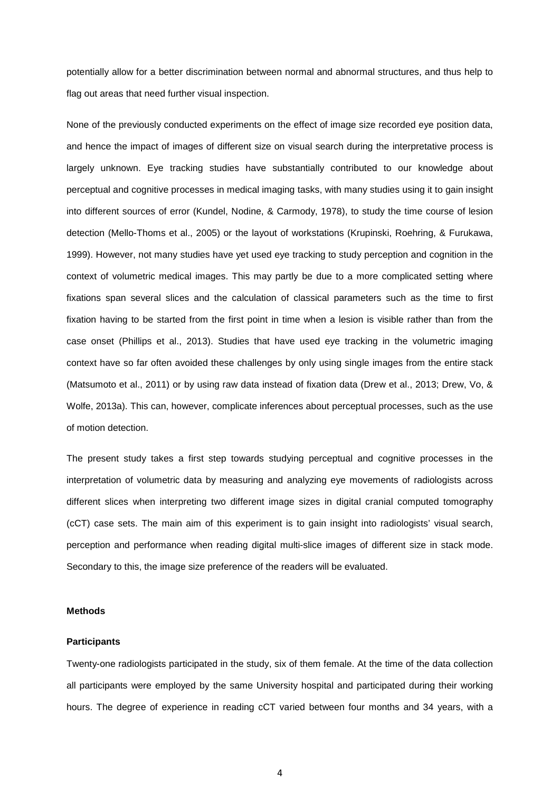potentially allow for a better discrimination between normal and abnormal structures, and thus help to flag out areas that need further visual inspection.

None of the previously conducted experiments on the effect of image size recorded eye position data, and hence the impact of images of different size on visual search during the interpretative process is largely unknown. Eye tracking studies have substantially contributed to our knowledge about perceptual and cognitive processes in medical imaging tasks, with many studies using it to gain insight into different sources of error (Kundel, Nodine, & Carmody, 1978), to study the time course of lesion detection (Mello-Thoms et al., 2005) or the layout of workstations (Krupinski, Roehring, & Furukawa, 1999). However, not many studies have yet used eye tracking to study perception and cognition in the context of volumetric medical images. This may partly be due to a more complicated setting where fixations span several slices and the calculation of classical parameters such as the time to first fixation having to be started from the first point in time when a lesion is visible rather than from the case onset (Phillips et al., 2013). Studies that have used eye tracking in the volumetric imaging context have so far often avoided these challenges by only using single images from the entire stack (Matsumoto et al., 2011) or by using raw data instead of fixation data (Drew et al., 2013; Drew, Vo, & Wolfe, 2013a). This can, however, complicate inferences about perceptual processes, such as the use of motion detection.

The present study takes a first step towards studying perceptual and cognitive processes in the interpretation of volumetric data by measuring and analyzing eye movements of radiologists across different slices when interpreting two different image sizes in digital cranial computed tomography (cCT) case sets. The main aim of this experiment is to gain insight into radiologists' visual search, perception and performance when reading digital multi-slice images of different size in stack mode. Secondary to this, the image size preference of the readers will be evaluated.

#### **Methods**

#### **Participants**

Twenty-one radiologists participated in the study, six of them female. At the time of the data collection all participants were employed by the same University hospital and participated during their working hours. The degree of experience in reading cCT varied between four months and 34 years, with a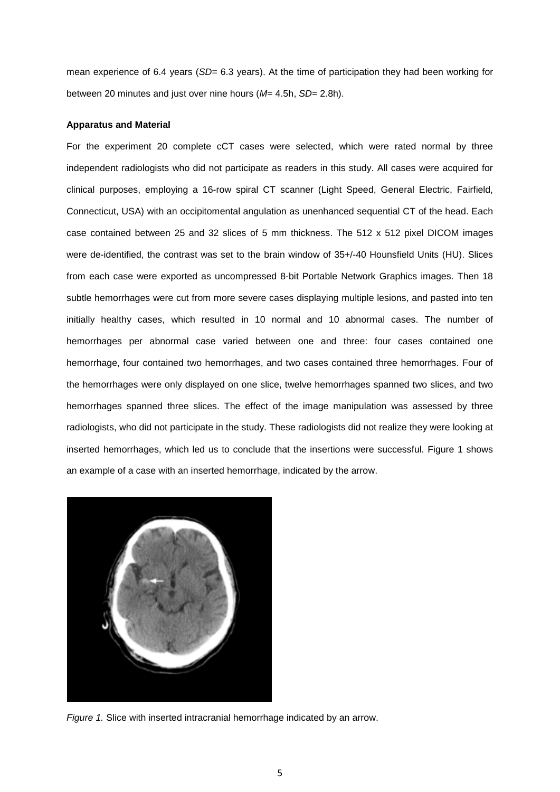mean experience of 6.4 years (SD= 6.3 years). At the time of participation they had been working for between 20 minutes and just over nine hours (*M*= 4.5h, *SD*= 2.8h).

#### **Apparatus and Material**

For the experiment 20 complete cCT cases were selected, which were rated normal by three independent radiologists who did not participate as readers in this study. All cases were acquired for clinical purposes, employing a 16-row spiral CT scanner (Light Speed, General Electric, Fairfield, Connecticut, USA) with an occipitomental angulation as unenhanced sequential CT of the head. Each case contained between 25 and 32 slices of 5 mm thickness. The 512 x 512 pixel DICOM images were de-identified, the contrast was set to the brain window of 35+/-40 Hounsfield Units (HU). Slices from each case were exported as uncompressed 8-bit Portable Network Graphics images. Then 18 subtle hemorrhages were cut from more severe cases displaying multiple lesions, and pasted into ten initially healthy cases, which resulted in 10 normal and 10 abnormal cases. The number of hemorrhages per abnormal case varied between one and three: four cases contained one hemorrhage, four contained two hemorrhages, and two cases contained three hemorrhages. Four of the hemorrhages were only displayed on one slice, twelve hemorrhages spanned two slices, and two hemorrhages spanned three slices. The effect of the image manipulation was assessed by three radiologists, who did not participate in the study. These radiologists did not realize they were looking at inserted hemorrhages, which led us to conclude that the insertions were successful. Figure 1 shows an example of a case with an inserted hemorrhage, indicated by the arrow.



*Figure 1.* Slice with inserted intracranial hemorrhage indicated by an arrow.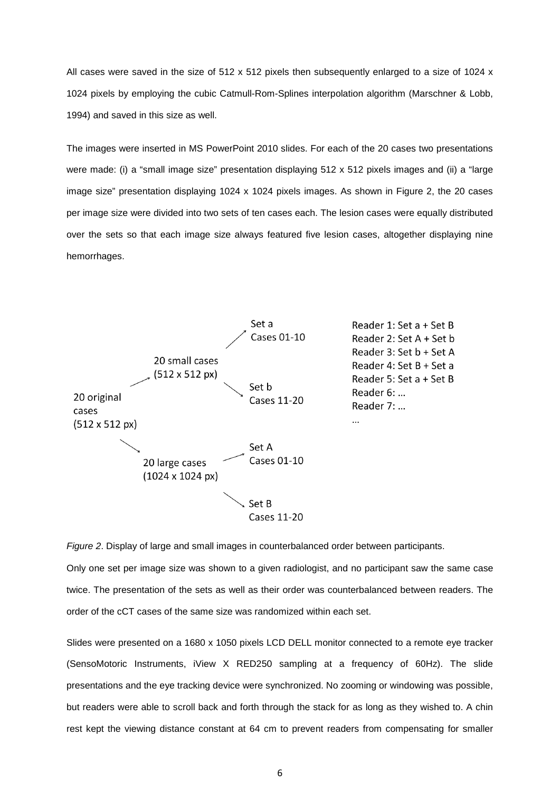All cases were saved in the size of 512 x 512 pixels then subsequently enlarged to a size of 1024 x 1024 pixels by employing the cubic Catmull-Rom-Splines interpolation algorithm (Marschner & Lobb, 1994) and saved in this size as well.

The images were inserted in MS PowerPoint 2010 slides. For each of the 20 cases two presentations were made: (i) a "small image size" presentation displaying 512 x 512 pixels images and (ii) a "large image size" presentation displaying 1024 x 1024 pixels images. As shown in Figure 2, the 20 cases per image size were divided into two sets of ten cases each. The lesion cases were equally distributed over the sets so that each image size always featured five lesion cases, altogether displaying nine hemorrhages.



*Figure 2*. Display of large and small images in counterbalanced order between participants.

Only one set per image size was shown to a given radiologist, and no participant saw the same case twice. The presentation of the sets as well as their order was counterbalanced between readers. The order of the cCT cases of the same size was randomized within each set.

Slides were presented on a 1680 x 1050 pixels LCD DELL monitor connected to a remote eye tracker (SensoMotoric Instruments, iView X RED250 sampling at a frequency of 60Hz). The slide presentations and the eye tracking device were synchronized. No zooming or windowing was possible, but readers were able to scroll back and forth through the stack for as long as they wished to. A chin rest kept the viewing distance constant at 64 cm to prevent readers from compensating for smaller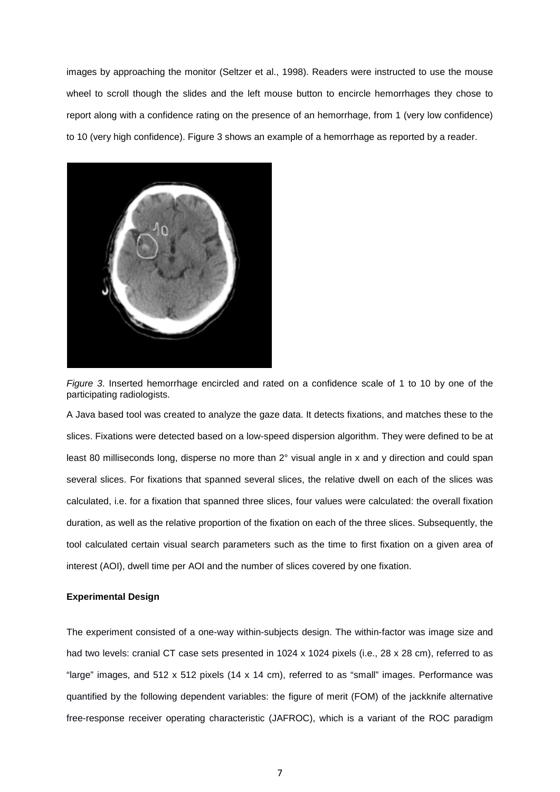images by approaching the monitor (Seltzer et al., 1998). Readers were instructed to use the mouse wheel to scroll though the slides and the left mouse button to encircle hemorrhages they chose to report along with a confidence rating on the presence of an hemorrhage, from 1 (very low confidence) to 10 (very high confidence). Figure 3 shows an example of a hemorrhage as reported by a reader.



*Figure 3*. Inserted hemorrhage encircled and rated on a confidence scale of 1 to 10 by one of the participating radiologists.

A Java based tool was created to analyze the gaze data. It detects fixations, and matches these to the slices. Fixations were detected based on a low-speed dispersion algorithm. They were defined to be at least 80 milliseconds long, disperse no more than 2° visual angle in x and y direction and could span several slices. For fixations that spanned several slices, the relative dwell on each of the slices was calculated, i.e. for a fixation that spanned three slices, four values were calculated: the overall fixation duration, as well as the relative proportion of the fixation on each of the three slices. Subsequently, the tool calculated certain visual search parameters such as the time to first fixation on a given area of interest (AOI), dwell time per AOI and the number of slices covered by one fixation.

## **Experimental Design**

The experiment consisted of a one-way within-subjects design. The within-factor was image size and had two levels: cranial CT case sets presented in 1024 x 1024 pixels (i.e., 28 x 28 cm), referred to as "large" images, and 512 x 512 pixels (14 x 14 cm), referred to as "small" images. Performance was quantified by the following dependent variables: the figure of merit (FOM) of the jackknife alternative free-response receiver operating characteristic (JAFROC), which is a variant of the ROC paradigm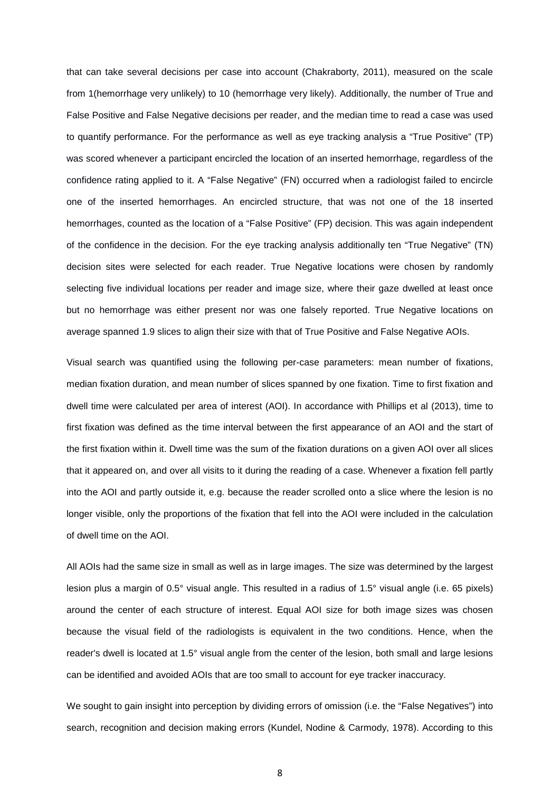that can take several decisions per case into account (Chakraborty, 2011), measured on the scale from 1(hemorrhage very unlikely) to 10 (hemorrhage very likely). Additionally, the number of True and False Positive and False Negative decisions per reader, and the median time to read a case was used to quantify performance. For the performance as well as eye tracking analysis a "True Positive" (TP) was scored whenever a participant encircled the location of an inserted hemorrhage, regardless of the confidence rating applied to it. A "False Negative" (FN) occurred when a radiologist failed to encircle one of the inserted hemorrhages. An encircled structure, that was not one of the 18 inserted hemorrhages, counted as the location of a "False Positive" (FP) decision. This was again independent of the confidence in the decision. For the eye tracking analysis additionally ten "True Negative" (TN) decision sites were selected for each reader. True Negative locations were chosen by randomly selecting five individual locations per reader and image size, where their gaze dwelled at least once but no hemorrhage was either present nor was one falsely reported. True Negative locations on average spanned 1.9 slices to align their size with that of True Positive and False Negative AOIs.

Visual search was quantified using the following per-case parameters: mean number of fixations, median fixation duration, and mean number of slices spanned by one fixation. Time to first fixation and dwell time were calculated per area of interest (AOI). In accordance with Phillips et al (2013), time to first fixation was defined as the time interval between the first appearance of an AOI and the start of the first fixation within it. Dwell time was the sum of the fixation durations on a given AOI over all slices that it appeared on, and over all visits to it during the reading of a case. Whenever a fixation fell partly into the AOI and partly outside it, e.g. because the reader scrolled onto a slice where the lesion is no longer visible, only the proportions of the fixation that fell into the AOI were included in the calculation of dwell time on the AOI.

All AOIs had the same size in small as well as in large images. The size was determined by the largest lesion plus a margin of 0.5° visual angle. This resulted in a radius of 1.5° visual angle (i.e. 65 pixels) around the center of each structure of interest. Equal AOI size for both image sizes was chosen because the visual field of the radiologists is equivalent in the two conditions. Hence, when the reader's dwell is located at 1.5° visual angle from the center of the lesion, both small and large lesions can be identified and avoided AOIs that are too small to account for eye tracker inaccuracy.

We sought to gain insight into perception by dividing errors of omission (i.e. the "False Negatives") into search, recognition and decision making errors (Kundel, Nodine & Carmody, 1978). According to this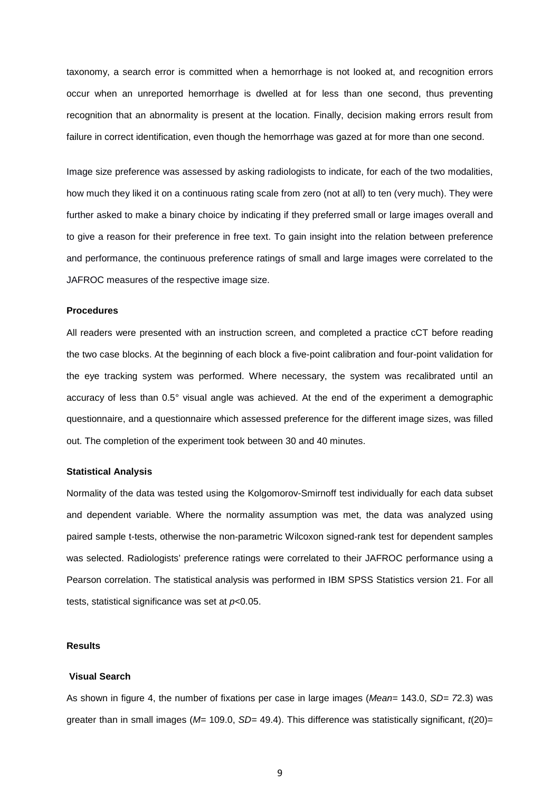taxonomy, a search error is committed when a hemorrhage is not looked at, and recognition errors occur when an unreported hemorrhage is dwelled at for less than one second, thus preventing recognition that an abnormality is present at the location. Finally, decision making errors result from failure in correct identification, even though the hemorrhage was gazed at for more than one second.

Image size preference was assessed by asking radiologists to indicate, for each of the two modalities, how much they liked it on a continuous rating scale from zero (not at all) to ten (very much). They were further asked to make a binary choice by indicating if they preferred small or large images overall and to give a reason for their preference in free text. To gain insight into the relation between preference and performance, the continuous preference ratings of small and large images were correlated to the JAFROC measures of the respective image size.

#### **Procedures**

All readers were presented with an instruction screen, and completed a practice cCT before reading the two case blocks. At the beginning of each block a five-point calibration and four-point validation for the eye tracking system was performed. Where necessary, the system was recalibrated until an accuracy of less than 0.5° visual angle was achieved. At the end of the experiment a demographic questionnaire, and a questionnaire which assessed preference for the different image sizes, was filled out. The completion of the experiment took between 30 and 40 minutes.

#### **Statistical Analysis**

Normality of the data was tested using the Kolgomorov-Smirnoff test individually for each data subset and dependent variable. Where the normality assumption was met, the data was analyzed using paired sample t-tests, otherwise the non-parametric Wilcoxon signed-rank test for dependent samples was selected. Radiologists' preference ratings were correlated to their JAFROC performance using a Pearson correlation. The statistical analysis was performed in IBM SPSS Statistics version 21. For all tests, statistical significance was set at *p*<0.05.

#### **Results**

### **Visual Search**

As shown in figure 4, the number of fixations per case in large images (*Mean*= 143.0, *SD= 7*2.3) was greater than in small images (*M=* 109.0, *SD=* 49.4). This difference was statistically significant, *t*(20)=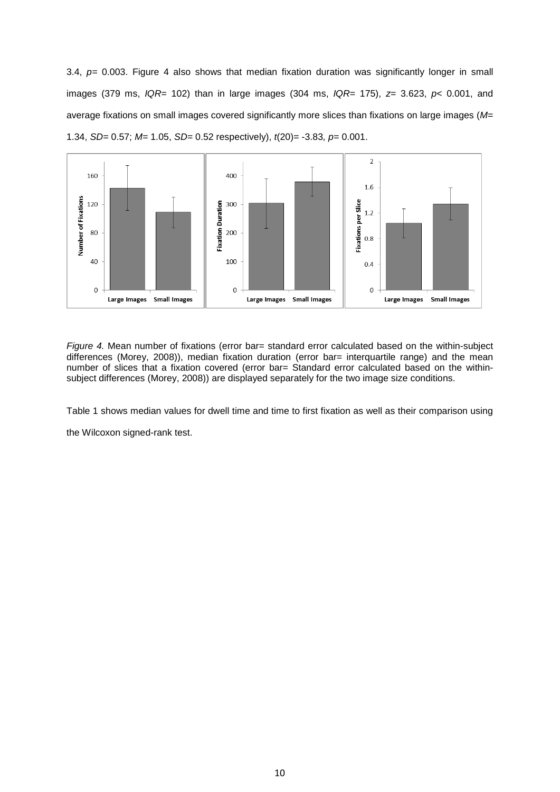3.4, *p=* 0.003. Figure 4 also shows that median fixation duration was significantly longer in small images (379 ms, *IQR*= 102) than in large images (304 ms, *IQR*= 175), *z*= 3.623, *p*< 0.001, and average fixations on small images covered significantly more slices than fixations on large images (*M=*  1.34, *SD=* 0.57; *M=* 1.05, *SD=* 0.52 respectively), *t*(20)= -3.83*, p=* 0.001.



*Figure 4.* Mean number of fixations (error bar= standard error calculated based on the within-subject differences (Morey, 2008)), median fixation duration (error bar= interquartile range) and the mean number of slices that a fixation covered (error bar= Standard error calculated based on the withinsubject differences (Morey, 2008)) are displayed separately for the two image size conditions.

Table 1 shows median values for dwell time and time to first fixation as well as their comparison using

the Wilcoxon signed-rank test.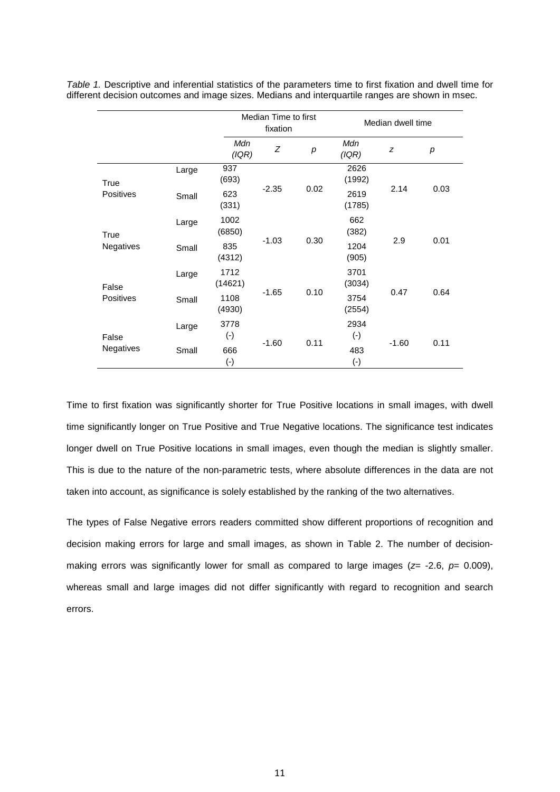|                           |       |                     | Median Time to first<br>fixation |      |                           | Median dwell time |      |  |
|---------------------------|-------|---------------------|----------------------------------|------|---------------------------|-------------------|------|--|
|                           |       | Mdn<br>(IQR)        | Z                                | р    | Mdn<br>(IQR)              | z                 | p    |  |
| True<br><b>Positives</b>  | Large | 937<br>(693)        | $-2.35$                          | 0.02 | 2626<br>(1992)            | 2.14              | 0.03 |  |
|                           | Small | 623<br>(331)        |                                  |      | 2619<br>(1785)            |                   |      |  |
| True<br>Negatives         | Large | 1002<br>(6850)      | $-1.03$                          | 0.30 | 662<br>(382)              | 2.9               | 0.01 |  |
|                           | Small | 835<br>(4312)       |                                  |      | 1204<br>(905)             |                   |      |  |
| False<br><b>Positives</b> | Large | 1712<br>(14621)     | $-1.65$                          | 0.10 | 3701<br>(3034)            | 0.47              | 0.64 |  |
|                           | Small | 1108<br>(4930)      |                                  |      | 3754<br>(2554)            |                   |      |  |
| False<br><b>Negatives</b> | Large | 3778<br>$(-)$       | $-1.60$                          | 0.11 | 2934<br>$(\cdot)$         | $-1.60$           | 0.11 |  |
|                           | Small | 666<br>$(\text{-})$ |                                  |      | 483<br>$(\textnormal{-})$ |                   |      |  |

*Table 1.* Descriptive and inferential statistics of the parameters time to first fixation and dwell time for different decision outcomes and image sizes. Medians and interquartile ranges are shown in msec.

Time to first fixation was significantly shorter for True Positive locations in small images, with dwell time significantly longer on True Positive and True Negative locations. The significance test indicates longer dwell on True Positive locations in small images, even though the median is slightly smaller. This is due to the nature of the non-parametric tests, where absolute differences in the data are not taken into account, as significance is solely established by the ranking of the two alternatives.

The types of False Negative errors readers committed show different proportions of recognition and decision making errors for large and small images, as shown in Table 2. The number of decisionmaking errors was significantly lower for small as compared to large images ( $z$ = -2.6,  $p$ = 0.009), whereas small and large images did not differ significantly with regard to recognition and search errors.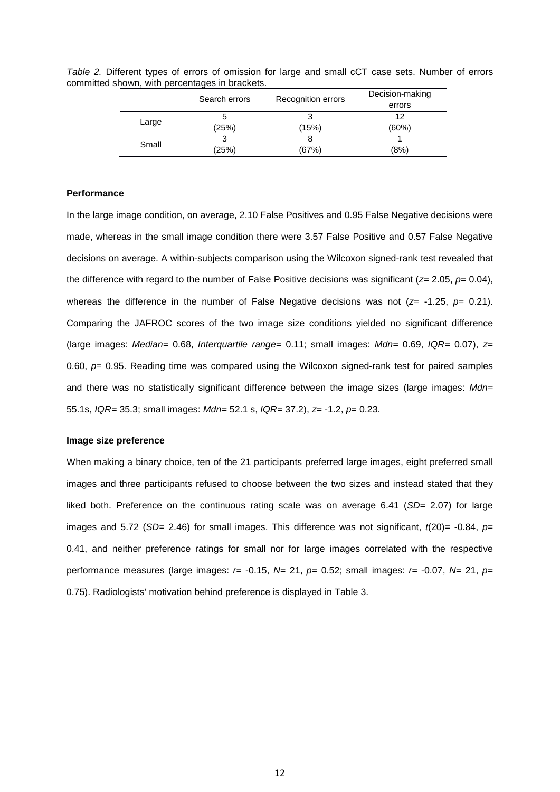|       | Search errors | Recognition errors | Decision-making |  |
|-------|---------------|--------------------|-----------------|--|
|       |               |                    | errors          |  |
| Large | 5             |                    | 12              |  |
|       | (25%)         | (15%)              | (60%)           |  |
| Small | 3             | 8                  |                 |  |
|       | (25%)         | (67%)              | (8%)            |  |

*Table 2.* Different types of errors of omission for large and small cCT case sets. Number of errors committed shown, with percentages in brackets.

## **Performance**

In the large image condition, on average, 2.10 False Positives and 0.95 False Negative decisions were made, whereas in the small image condition there were 3.57 False Positive and 0.57 False Negative decisions on average. A within-subjects comparison using the Wilcoxon signed-rank test revealed that the difference with regard to the number of False Positive decisions was significant (*z*= 2.05, *p*= 0.04), whereas the difference in the number of False Negative decisions was not ( $z = -1.25$ ,  $p = 0.21$ ). Comparing the JAFROC scores of the two image size conditions yielded no significant difference (large images: *Median=* 0.68, *Interquartile range=* 0.11; small images: *Mdn=* 0.69, *IQR=* 0.07), *z*= 0.60, *p*= 0.95. Reading time was compared using the Wilcoxon signed-rank test for paired samples and there was no statistically significant difference between the image sizes (large images: *Mdn=*  55.1s, *IQR=* 35.3; small images: *Mdn=* 52.1 s, *IQR=* 37.2), *z*= -1.2, *p*= 0.23.

## **Image size preference**

When making a binary choice, ten of the 21 participants preferred large images, eight preferred small images and three participants refused to choose between the two sizes and instead stated that they liked both. Preference on the continuous rating scale was on average 6.41 (*SD=* 2.07) for large images and 5.72 (*SD*= 2.46) for small images. This difference was not significant,  $t(20)$ = -0.84,  $p=$ 0.41, and neither preference ratings for small nor for large images correlated with the respective performance measures (large images: *r*= -0.15, *N*= 21, *p*= 0.52; small images: *r*= -0.07, *N*= 21, *p*= 0.75). Radiologists' motivation behind preference is displayed in Table 3.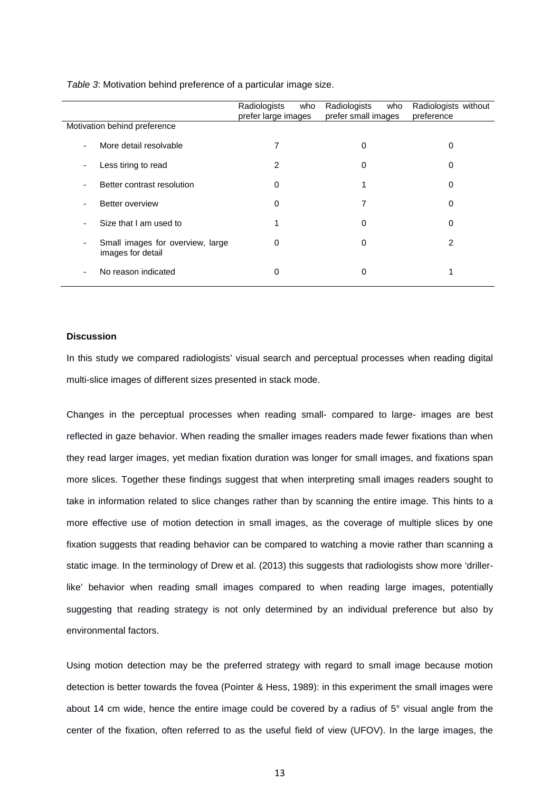|                                                       | Radiologists<br>who<br>prefer large images | Radiologists<br>who<br>prefer small images | Radiologists without<br>preference |
|-------------------------------------------------------|--------------------------------------------|--------------------------------------------|------------------------------------|
| Motivation behind preference                          |                                            |                                            |                                    |
| More detail resolvable<br>$\overline{\phantom{a}}$    |                                            |                                            | 0                                  |
| Less tiring to read                                   | 2                                          | 0                                          | 0                                  |
| Better contrast resolution                            | $\Omega$                                   |                                            | 0                                  |
| Better overview<br>٠                                  | $\Omega$                                   | 7                                          | 0                                  |
| Size that I am used to                                |                                            | 0                                          | 0                                  |
| Small images for overview, large<br>images for detail | 0                                          | 0                                          | 2                                  |
| No reason indicated                                   | 0                                          | 0                                          |                                    |

*Table 3*: Motivation behind preference of a particular image size.

# **Discussion**

In this study we compared radiologists' visual search and perceptual processes when reading digital multi-slice images of different sizes presented in stack mode.

Changes in the perceptual processes when reading small- compared to large- images are best reflected in gaze behavior. When reading the smaller images readers made fewer fixations than when they read larger images, yet median fixation duration was longer for small images, and fixations span more slices. Together these findings suggest that when interpreting small images readers sought to take in information related to slice changes rather than by scanning the entire image. This hints to a more effective use of motion detection in small images, as the coverage of multiple slices by one fixation suggests that reading behavior can be compared to watching a movie rather than scanning a static image. In the terminology of Drew et al. (2013) this suggests that radiologists show more 'drillerlike' behavior when reading small images compared to when reading large images, potentially suggesting that reading strategy is not only determined by an individual preference but also by environmental factors.

Using motion detection may be the preferred strategy with regard to small image because motion detection is better towards the fovea (Pointer & Hess, 1989): in this experiment the small images were about 14 cm wide, hence the entire image could be covered by a radius of 5° visual angle from the center of the fixation, often referred to as the useful field of view (UFOV). In the large images, the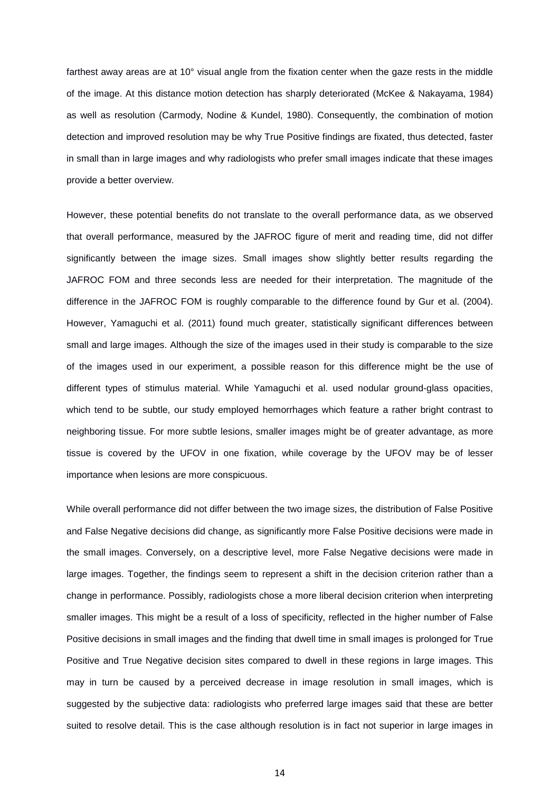farthest away areas are at 10° visual angle from the fixation center when the gaze rests in the middle of the image. At this distance motion detection has sharply deteriorated (McKee & Nakayama, 1984) as well as resolution (Carmody, Nodine & Kundel, 1980). Consequently, the combination of motion detection and improved resolution may be why True Positive findings are fixated, thus detected, faster in small than in large images and why radiologists who prefer small images indicate that these images provide a better overview.

However, these potential benefits do not translate to the overall performance data, as we observed that overall performance, measured by the JAFROC figure of merit and reading time, did not differ significantly between the image sizes. Small images show slightly better results regarding the JAFROC FOM and three seconds less are needed for their interpretation. The magnitude of the difference in the JAFROC FOM is roughly comparable to the difference found by Gur et al. (2004). However, Yamaguchi et al. (2011) found much greater, statistically significant differences between small and large images. Although the size of the images used in their study is comparable to the size of the images used in our experiment, a possible reason for this difference might be the use of different types of stimulus material. While Yamaguchi et al. used nodular ground-glass opacities, which tend to be subtle, our study employed hemorrhages which feature a rather bright contrast to neighboring tissue. For more subtle lesions, smaller images might be of greater advantage, as more tissue is covered by the UFOV in one fixation, while coverage by the UFOV may be of lesser importance when lesions are more conspicuous.

While overall performance did not differ between the two image sizes, the distribution of False Positive and False Negative decisions did change, as significantly more False Positive decisions were made in the small images. Conversely, on a descriptive level, more False Negative decisions were made in large images. Together, the findings seem to represent a shift in the decision criterion rather than a change in performance. Possibly, radiologists chose a more liberal decision criterion when interpreting smaller images. This might be a result of a loss of specificity, reflected in the higher number of False Positive decisions in small images and the finding that dwell time in small images is prolonged for True Positive and True Negative decision sites compared to dwell in these regions in large images. This may in turn be caused by a perceived decrease in image resolution in small images, which is suggested by the subjective data: radiologists who preferred large images said that these are better suited to resolve detail. This is the case although resolution is in fact not superior in large images in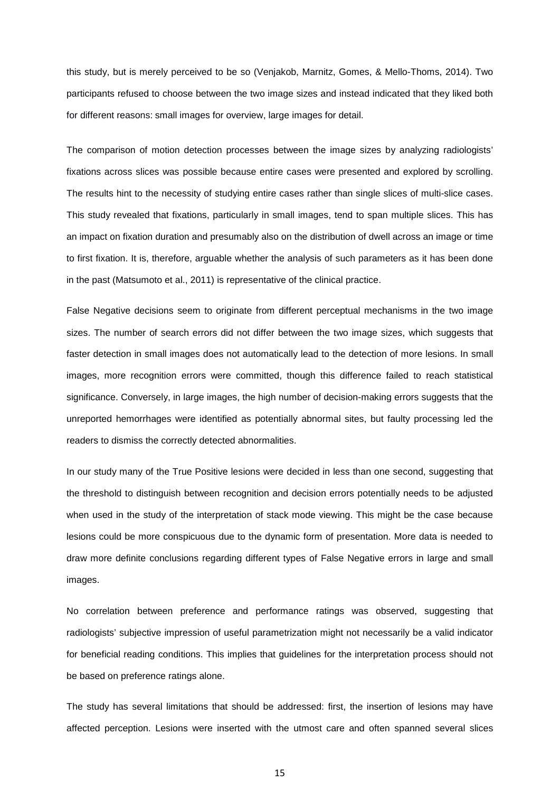this study, but is merely perceived to be so (Venjakob, Marnitz, Gomes, & Mello-Thoms, 2014). Two participants refused to choose between the two image sizes and instead indicated that they liked both for different reasons: small images for overview, large images for detail.

The comparison of motion detection processes between the image sizes by analyzing radiologists' fixations across slices was possible because entire cases were presented and explored by scrolling. The results hint to the necessity of studying entire cases rather than single slices of multi-slice cases. This study revealed that fixations, particularly in small images, tend to span multiple slices. This has an impact on fixation duration and presumably also on the distribution of dwell across an image or time to first fixation. It is, therefore, arguable whether the analysis of such parameters as it has been done in the past (Matsumoto et al., 2011) is representative of the clinical practice.

False Negative decisions seem to originate from different perceptual mechanisms in the two image sizes. The number of search errors did not differ between the two image sizes, which suggests that faster detection in small images does not automatically lead to the detection of more lesions. In small images, more recognition errors were committed, though this difference failed to reach statistical significance. Conversely, in large images, the high number of decision-making errors suggests that the unreported hemorrhages were identified as potentially abnormal sites, but faulty processing led the readers to dismiss the correctly detected abnormalities.

In our study many of the True Positive lesions were decided in less than one second, suggesting that the threshold to distinguish between recognition and decision errors potentially needs to be adjusted when used in the study of the interpretation of stack mode viewing. This might be the case because lesions could be more conspicuous due to the dynamic form of presentation. More data is needed to draw more definite conclusions regarding different types of False Negative errors in large and small images.

No correlation between preference and performance ratings was observed, suggesting that radiologists' subjective impression of useful parametrization might not necessarily be a valid indicator for beneficial reading conditions. This implies that guidelines for the interpretation process should not be based on preference ratings alone.

The study has several limitations that should be addressed: first, the insertion of lesions may have affected perception. Lesions were inserted with the utmost care and often spanned several slices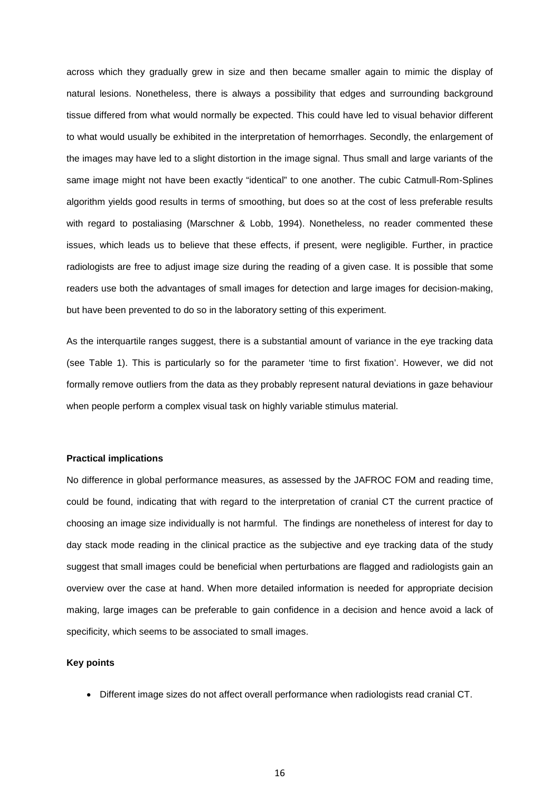across which they gradually grew in size and then became smaller again to mimic the display of natural lesions. Nonetheless, there is always a possibility that edges and surrounding background tissue differed from what would normally be expected. This could have led to visual behavior different to what would usually be exhibited in the interpretation of hemorrhages. Secondly, the enlargement of the images may have led to a slight distortion in the image signal. Thus small and large variants of the same image might not have been exactly "identical" to one another. The cubic Catmull-Rom-Splines algorithm yields good results in terms of smoothing, but does so at the cost of less preferable results with regard to postaliasing (Marschner & Lobb, 1994). Nonetheless, no reader commented these issues, which leads us to believe that these effects, if present, were negligible. Further, in practice radiologists are free to adjust image size during the reading of a given case. It is possible that some readers use both the advantages of small images for detection and large images for decision-making, but have been prevented to do so in the laboratory setting of this experiment.

As the interquartile ranges suggest, there is a substantial amount of variance in the eye tracking data (see Table 1). This is particularly so for the parameter 'time to first fixation'. However, we did not formally remove outliers from the data as they probably represent natural deviations in gaze behaviour when people perform a complex visual task on highly variable stimulus material.

#### **Practical implications**

No difference in global performance measures, as assessed by the JAFROC FOM and reading time, could be found, indicating that with regard to the interpretation of cranial CT the current practice of choosing an image size individually is not harmful. The findings are nonetheless of interest for day to day stack mode reading in the clinical practice as the subjective and eye tracking data of the study suggest that small images could be beneficial when perturbations are flagged and radiologists gain an overview over the case at hand. When more detailed information is needed for appropriate decision making, large images can be preferable to gain confidence in a decision and hence avoid a lack of specificity, which seems to be associated to small images.

#### **Key points**

• Different image sizes do not affect overall performance when radiologists read cranial CT.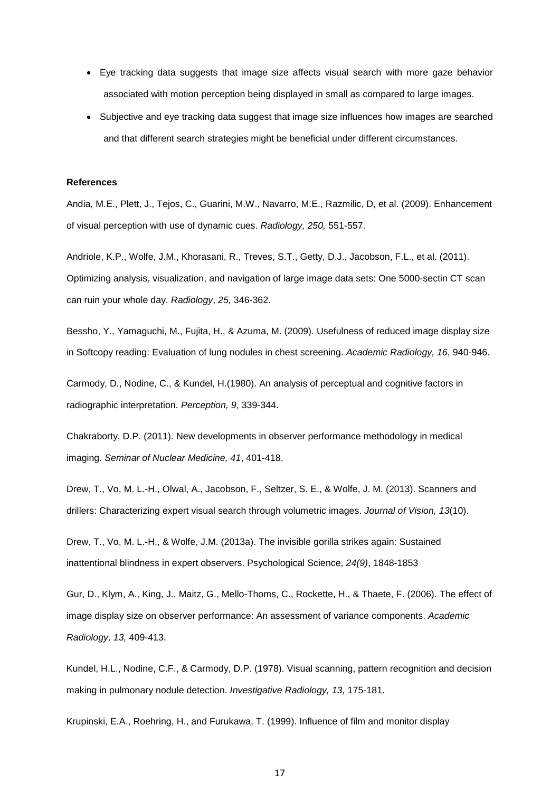- Eye tracking data suggests that image size affects visual search with more gaze behavior associated with motion perception being displayed in small as compared to large images.
- Subjective and eye tracking data suggest that image size influences how images are searched and that different search strategies might be beneficial under different circumstances.

#### **References**

Andia, M.E., Plett, J., Tejos, C., Guarini, M.W., Navarro, M.E., Razmilic, D, et al. (2009). Enhancement of visual perception with use of dynamic cues. *Radiology, 250,* 551-557.

Andriole, K.P., Wolfe, J.M., Khorasani, R., Treves, S.T., Getty, D.J., Jacobson, F.L., et al. (2011). Optimizing analysis, visualization, and navigation of large image data sets: One 5000-sectin CT scan can ruin your whole day. *Radiology*, *25,* 346-362.

Bessho, Y., Yamaguchi, M., Fujita, H., & Azuma, M. (2009). Usefulness of reduced image display size in Softcopy reading: Evaluation of lung nodules in chest screening. *Academic Radiology, 16*, 940-946.

Carmody, D., Nodine, C., & Kundel, H.(1980). An analysis of perceptual and cognitive factors in radiographic interpretation. *Perception, 9,* 339-344.

Chakraborty, D.P. (2011). New developments in observer performance methodology in medical imaging. *Seminar of Nuclear Medicine, 41*, 401-418.

Drew, T., Vo, M. L.-H., Olwal, A., Jacobson, F., Seltzer, S. E., & Wolfe, J. M. (2013). Scanners and drillers: Characterizing expert visual search through volumetric images. *Journal of Vision, 13*(10).

Drew, T., Vo, M. L.-H., & Wolfe, J.M. (2013a). The invisible gorilla strikes again: Sustained inattentional blindness in expert observers. Psychological Science, *24(9)*, 1848-1853

Gur, D., Klym, A., King, J., Maitz, G., Mello-Thoms, C., Rockette, H., & Thaete, F. (2006). The effect of image display size on observer performance: An assessment of variance components. *Academic Radiology, 13,* 409-413.

Kundel, H.L., Nodine, C.F., & Carmody, D.P. (1978). Visual scanning, pattern recognition and decision making in pulmonary nodule detection. *Investigative Radiology, 13,* 175-181.

Krupinski, E.A., Roehring, H., and Furukawa, T. (1999). Influence of film and monitor display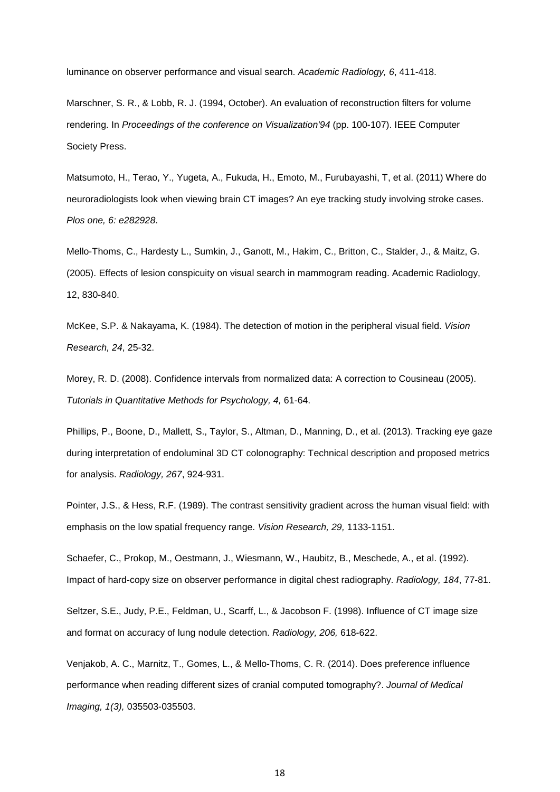luminance on observer performance and visual search. *Academic Radiology, 6*, 411-418.

Marschner, S. R., & Lobb, R. J. (1994, October). An evaluation of reconstruction filters for volume rendering. In *Proceedings of the conference on Visualization'94* (pp. 100-107). IEEE Computer Society Press.

Matsumoto, H., Terao, Y., Yugeta, A., Fukuda, H., Emoto, M., Furubayashi, T, et al. (2011) Where do neuroradiologists look when viewing brain CT images? An eye tracking study involving stroke cases. *Plos one, 6: e282928*.

Mello-Thoms, C., Hardesty L., Sumkin, J., Ganott, M., Hakim, C., Britton, C., Stalder, J., & Maitz, G. (2005). Effects of lesion conspicuity on visual search in mammogram reading. Academic Radiology, 12, 830-840.

McKee, S.P. & Nakayama, K. (1984). The detection of motion in the peripheral visual field. *Vision Research, 24*, 25-32.

Morey, R. D. (2008). Confidence intervals from normalized data: A correction to Cousineau (2005). *Tutorials in Quantitative Methods for Psychology, 4,* 61-64.

Phillips, P., Boone, D., Mallett, S., Taylor, S., Altman, D., Manning, D., et al. (2013). Tracking eye gaze during interpretation of endoluminal 3D CT colonography: Technical description and proposed metrics for analysis. *Radiology, 267*, 924-931.

Pointer, J.S., & Hess, R.F. (1989). The contrast sensitivity gradient across the human visual field: with emphasis on the low spatial frequency range. *Vision Research, 29,* 1133-1151.

Schaefer, C., Prokop, M., Oestmann, J., Wiesmann, W., Haubitz, B., Meschede, A., et al. (1992). Impact of hard-copy size on observer performance in digital chest radiography. *Radiology, 184*, 77-81.

Seltzer, S.E., Judy, P.E., Feldman, U., Scarff, L., & Jacobson F. (1998). Influence of CT image size and format on accuracy of lung nodule detection. *Radiology, 206,* 618-622.

Venjakob, A. C., Marnitz, T., Gomes, L., & Mello-Thoms, C. R. (2014). Does preference influence performance when reading different sizes of cranial computed tomography?. *Journal of Medical Imaging, 1(3),* 035503-035503.